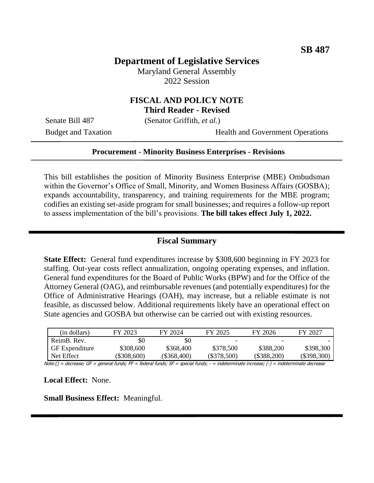# **Department of Legislative Services**

Maryland General Assembly 2022 Session

## **FISCAL AND POLICY NOTE Third Reader - Revised**

Senate Bill 487 (Senator Griffith, *et al.*)

Budget and Taxation Health and Government Operations

#### **Procurement - Minority Business Enterprises - Revisions**

This bill establishes the position of Minority Business Enterprise (MBE) Ombudsman within the Governor's Office of Small, Minority, and Women Business Affairs (GOSBA); expands accountability, transparency, and training requirements for the MBE program; codifies an existing set-aside program for small businesses; and requires a follow-up report to assess implementation of the bill's provisions. **The bill takes effect July 1, 2022.**

## **Fiscal Summary**

**State Effect:** General fund expenditures increase by \$308,600 beginning in FY 2023 for staffing. Out-year costs reflect annualization, ongoing operating expenses, and inflation. General fund expenditures for the Board of Public Works (BPW) and for the Office of the Attorney General (OAG), and reimbursable revenues (and potentially expenditures) for the Office of Administrative Hearings (OAH), may increase, but a reliable estimate is not feasible, as discussed below. Additional requirements likely have an operational effect on State agencies and GOSBA but otherwise can be carried out with existing resources.

| (in dollars)          | FY 2023       | FY 2024     | FY 2025                  | FY 2026       | FY 2027     |
|-----------------------|---------------|-------------|--------------------------|---------------|-------------|
| ReimB. Rev.           | \$0           | \$0         | $\overline{\phantom{a}}$ |               |             |
| <b>GF</b> Expenditure | \$308,600     | \$368,400   | \$378,500                | \$388,200     | \$398,300   |
| Net Effect            | $(\$308,600)$ | (\$368,400) | $(\$378,500)$            | $(\$388,200)$ | (\$398,300) |

Note:() = decrease; GF = general funds; FF = federal funds; SF = special funds; - = indeterminate increase; (-) = indeterminate decrease

**Local Effect:** None.

**Small Business Effect:** Meaningful.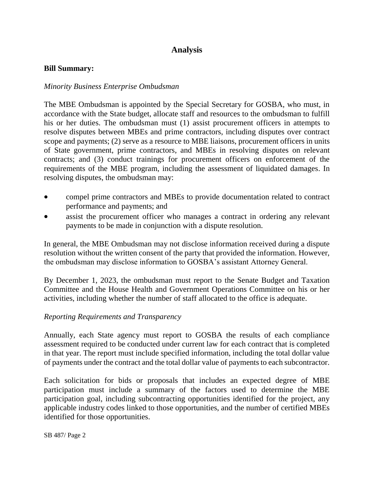# **Analysis**

#### **Bill Summary:**

#### *Minority Business Enterprise Ombudsman*

The MBE Ombudsman is appointed by the Special Secretary for GOSBA, who must, in accordance with the State budget, allocate staff and resources to the ombudsman to fulfill his or her duties. The ombudsman must (1) assist procurement officers in attempts to resolve disputes between MBEs and prime contractors, including disputes over contract scope and payments; (2) serve as a resource to MBE liaisons, procurement officers in units of State government, prime contractors, and MBEs in resolving disputes on relevant contracts; and (3) conduct trainings for procurement officers on enforcement of the requirements of the MBE program, including the assessment of liquidated damages. In resolving disputes, the ombudsman may:

- compel prime contractors and MBEs to provide documentation related to contract performance and payments; and
- assist the procurement officer who manages a contract in ordering any relevant payments to be made in conjunction with a dispute resolution.

In general, the MBE Ombudsman may not disclose information received during a dispute resolution without the written consent of the party that provided the information. However, the ombudsman may disclose information to GOSBA's assistant Attorney General.

By December 1, 2023, the ombudsman must report to the Senate Budget and Taxation Committee and the House Health and Government Operations Committee on his or her activities, including whether the number of staff allocated to the office is adequate.

#### *Reporting Requirements and Transparency*

Annually, each State agency must report to GOSBA the results of each compliance assessment required to be conducted under current law for each contract that is completed in that year. The report must include specified information, including the total dollar value of payments under the contract and the total dollar value of payments to each subcontractor.

Each solicitation for bids or proposals that includes an expected degree of MBE participation must include a summary of the factors used to determine the MBE participation goal, including subcontracting opportunities identified for the project, any applicable industry codes linked to those opportunities, and the number of certified MBEs identified for those opportunities.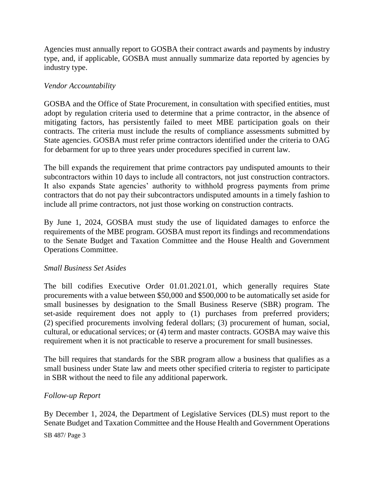Agencies must annually report to GOSBA their contract awards and payments by industry type, and, if applicable, GOSBA must annually summarize data reported by agencies by industry type.

## *Vendor Accountability*

GOSBA and the Office of State Procurement, in consultation with specified entities, must adopt by regulation criteria used to determine that a prime contractor, in the absence of mitigating factors, has persistently failed to meet MBE participation goals on their contracts. The criteria must include the results of compliance assessments submitted by State agencies. GOSBA must refer prime contractors identified under the criteria to OAG for debarment for up to three years under procedures specified in current law.

The bill expands the requirement that prime contractors pay undisputed amounts to their subcontractors within 10 days to include all contractors, not just construction contractors. It also expands State agencies' authority to withhold progress payments from prime contractors that do not pay their subcontractors undisputed amounts in a timely fashion to include all prime contractors, not just those working on construction contracts.

By June 1, 2024, GOSBA must study the use of liquidated damages to enforce the requirements of the MBE program. GOSBA must report its findings and recommendations to the Senate Budget and Taxation Committee and the House Health and Government Operations Committee.

## *Small Business Set Asides*

The bill codifies Executive Order 01.01.2021.01, which generally requires State procurements with a value between \$50,000 and \$500,000 to be automatically set aside for small businesses by designation to the Small Business Reserve (SBR) program. The set-aside requirement does not apply to (1) purchases from preferred providers; (2) specified procurements involving federal dollars; (3) procurement of human, social, cultural, or educational services; or (4) term and master contracts. GOSBA may waive this requirement when it is not practicable to reserve a procurement for small businesses.

The bill requires that standards for the SBR program allow a business that qualifies as a small business under State law and meets other specified criteria to register to participate in SBR without the need to file any additional paperwork.

#### *Follow-up Report*

By December 1, 2024, the Department of Legislative Services (DLS) must report to the Senate Budget and Taxation Committee and the House Health and Government Operations

SB 487/ Page 3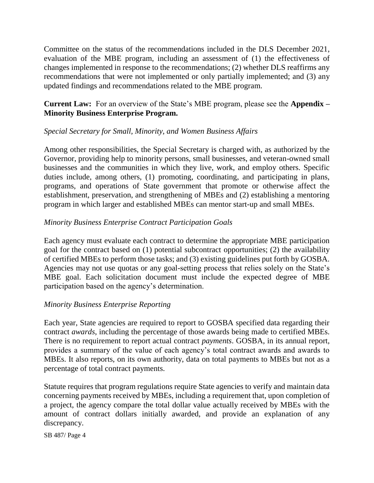Committee on the status of the recommendations included in the DLS December 2021, evaluation of the MBE program, including an assessment of (1) the effectiveness of changes implemented in response to the recommendations; (2) whether DLS reaffirms any recommendations that were not implemented or only partially implemented; and (3) any updated findings and recommendations related to the MBE program.

**Current Law:** For an overview of the State's MBE program, please see the **Appendix – Minority Business Enterprise Program.**

## *Special Secretary for Small, Minority, and Women Business Affairs*

Among other responsibilities, the Special Secretary is charged with, as authorized by the Governor, providing help to minority persons, small businesses, and veteran-owned small businesses and the communities in which they live, work, and employ others. Specific duties include, among others, (1) promoting, coordinating, and participating in plans, programs, and operations of State government that promote or otherwise affect the establishment, preservation, and strengthening of MBEs and (2) establishing a mentoring program in which larger and established MBEs can mentor start-up and small MBEs.

#### *Minority Business Enterprise Contract Participation Goals*

Each agency must evaluate each contract to determine the appropriate MBE participation goal for the contract based on (1) potential subcontract opportunities; (2) the availability of certified MBEs to perform those tasks; and (3) existing guidelines put forth by GOSBA. Agencies may not use quotas or any goal-setting process that relies solely on the State's MBE goal. Each solicitation document must include the expected degree of MBE participation based on the agency's determination.

#### *Minority Business Enterprise Reporting*

Each year, State agencies are required to report to GOSBA specified data regarding their contract *awards*, including the percentage of those awards being made to certified MBEs. There is no requirement to report actual contract *payments*. GOSBA, in its annual report, provides a summary of the value of each agency's total contract awards and awards to MBEs. It also reports, on its own authority, data on total payments to MBEs but not as a percentage of total contract payments.

Statute requires that program regulations require State agencies to verify and maintain data concerning payments received by MBEs, including a requirement that, upon completion of a project, the agency compare the total dollar value actually received by MBEs with the amount of contract dollars initially awarded, and provide an explanation of any discrepancy.

SB 487/ Page 4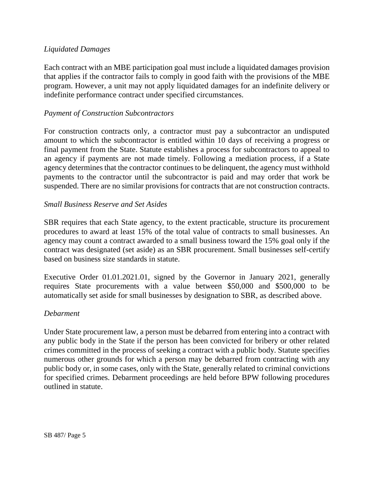## *Liquidated Damages*

Each contract with an MBE participation goal must include a liquidated damages provision that applies if the contractor fails to comply in good faith with the provisions of the MBE program. However, a unit may not apply liquidated damages for an indefinite delivery or indefinite performance contract under specified circumstances.

## *Payment of Construction Subcontractors*

For construction contracts only, a contractor must pay a subcontractor an undisputed amount to which the subcontractor is entitled within 10 days of receiving a progress or final payment from the State. Statute establishes a process for subcontractors to appeal to an agency if payments are not made timely. Following a mediation process, if a State agency determines that the contractor continues to be delinquent, the agency must withhold payments to the contractor until the subcontractor is paid and may order that work be suspended. There are no similar provisions for contracts that are not construction contracts.

## *Small Business Reserve and Set Asides*

SBR requires that each State agency, to the extent practicable, structure its procurement procedures to award at least 15% of the total value of contracts to small businesses. An agency may count a contract awarded to a small business toward the 15% goal only if the contract was designated (set aside) as an SBR procurement. Small businesses self-certify based on business size standards in statute.

Executive Order 01.01.2021.01, signed by the Governor in January 2021, generally requires State procurements with a value between \$50,000 and \$500,000 to be automatically set aside for small businesses by designation to SBR, as described above.

#### *Debarment*

Under State procurement law, a person must be debarred from entering into a contract with any public body in the State if the person has been convicted for bribery or other related crimes committed in the process of seeking a contract with a public body. Statute specifies numerous other grounds for which a person may be debarred from contracting with any public body or, in some cases, only with the State, generally related to criminal convictions for specified crimes. Debarment proceedings are held before BPW following procedures outlined in statute.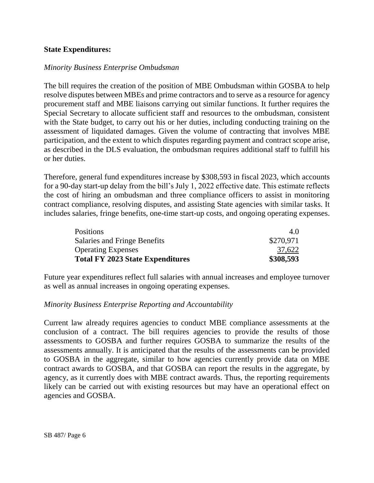## **State Expenditures:**

#### *Minority Business Enterprise Ombudsman*

The bill requires the creation of the position of MBE Ombudsman within GOSBA to help resolve disputes between MBEs and prime contractors and to serve as a resource for agency procurement staff and MBE liaisons carrying out similar functions. It further requires the Special Secretary to allocate sufficient staff and resources to the ombudsman, consistent with the State budget, to carry out his or her duties, including conducting training on the assessment of liquidated damages. Given the volume of contracting that involves MBE participation, and the extent to which disputes regarding payment and contract scope arise, as described in the DLS evaluation, the ombudsman requires additional staff to fulfill his or her duties.

Therefore, general fund expenditures increase by \$308,593 in fiscal 2023, which accounts for a 90-day start-up delay from the bill's July 1, 2022 effective date. This estimate reflects the cost of hiring an ombudsman and three compliance officers to assist in monitoring contract compliance, resolving disputes, and assisting State agencies with similar tasks. It includes salaries, fringe benefits, one-time start-up costs, and ongoing operating expenses.

| <b>Positions</b>                        | 4.0       |
|-----------------------------------------|-----------|
| Salaries and Fringe Benefits            | \$270,971 |
| <b>Operating Expenses</b>               | 37,622    |
| <b>Total FY 2023 State Expenditures</b> | \$308,593 |

Future year expenditures reflect full salaries with annual increases and employee turnover as well as annual increases in ongoing operating expenses.

#### *Minority Business Enterprise Reporting and Accountability*

Current law already requires agencies to conduct MBE compliance assessments at the conclusion of a contract. The bill requires agencies to provide the results of those assessments to GOSBA and further requires GOSBA to summarize the results of the assessments annually. It is anticipated that the results of the assessments can be provided to GOSBA in the aggregate, similar to how agencies currently provide data on MBE contract awards to GOSBA, and that GOSBA can report the results in the aggregate, by agency, as it currently does with MBE contract awards. Thus, the reporting requirements likely can be carried out with existing resources but may have an operational effect on agencies and GOSBA.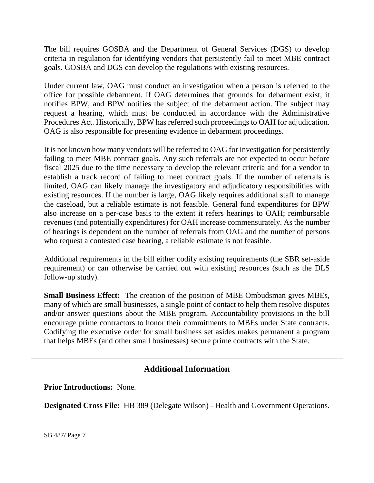The bill requires GOSBA and the Department of General Services (DGS) to develop criteria in regulation for identifying vendors that persistently fail to meet MBE contract goals. GOSBA and DGS can develop the regulations with existing resources.

Under current law, OAG must conduct an investigation when a person is referred to the office for possible debarment. If OAG determines that grounds for debarment exist, it notifies BPW, and BPW notifies the subject of the debarment action. The subject may request a hearing, which must be conducted in accordance with the Administrative Procedures Act. Historically, BPW has referred such proceedings to OAH for adjudication. OAG is also responsible for presenting evidence in debarment proceedings.

It is not known how many vendors will be referred to OAG for investigation for persistently failing to meet MBE contract goals. Any such referrals are not expected to occur before fiscal 2025 due to the time necessary to develop the relevant criteria and for a vendor to establish a track record of failing to meet contract goals. If the number of referrals is limited, OAG can likely manage the investigatory and adjudicatory responsibilities with existing resources. If the number is large, OAG likely requires additional staff to manage the caseload, but a reliable estimate is not feasible. General fund expenditures for BPW also increase on a per-case basis to the extent it refers hearings to OAH; reimbursable revenues (and potentially expenditures) for OAH increase commensurately. As the number of hearings is dependent on the number of referrals from OAG and the number of persons who request a contested case hearing, a reliable estimate is not feasible.

Additional requirements in the bill either codify existing requirements (the SBR set-aside requirement) or can otherwise be carried out with existing resources (such as the DLS follow-up study).

**Small Business Effect:** The creation of the position of MBE Ombudsman gives MBEs, many of which are small businesses, a single point of contact to help them resolve disputes and/or answer questions about the MBE program. Accountability provisions in the bill encourage prime contractors to honor their commitments to MBEs under State contracts. Codifying the executive order for small business set asides makes permanent a program that helps MBEs (and other small businesses) secure prime contracts with the State.

# **Additional Information**

**Prior Introductions:** None.

**Designated Cross File:** HB 389 (Delegate Wilson) - Health and Government Operations.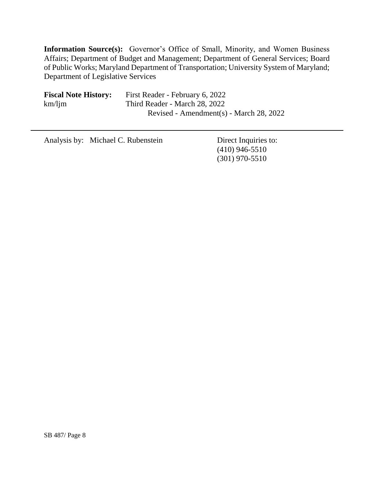**Information Source(s):** Governor's Office of Small, Minority, and Women Business Affairs; Department of Budget and Management; Department of General Services; Board of Public Works; Maryland Department of Transportation; University System of Maryland; Department of Legislative Services

| <b>Fiscal Note History:</b> | First Reader - February 6, 2022         |
|-----------------------------|-----------------------------------------|
| $km/l$ jm                   | Third Reader - March 28, 2022           |
|                             | Revised - Amendment(s) - March 28, 2022 |

Analysis by: Michael C. Rubenstein Direct Inquiries to:

(410) 946-5510 (301) 970-5510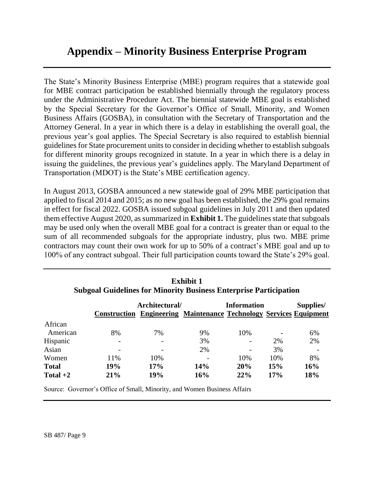# **Appendix – Minority Business Enterprise Program**

The State's Minority Business Enterprise (MBE) program requires that a statewide goal for MBE contract participation be established biennially through the regulatory process under the Administrative Procedure Act. The biennial statewide MBE goal is established by the Special Secretary for the Governor's Office of Small, Minority, and Women Business Affairs (GOSBA), in consultation with the Secretary of Transportation and the Attorney General. In a year in which there is a delay in establishing the overall goal, the previous year's goal applies. The Special Secretary is also required to establish biennial guidelines for State procurement units to consider in deciding whether to establish subgoals for different minority groups recognized in statute. In a year in which there is a delay in issuing the guidelines, the previous year's guidelines apply. The Maryland Department of Transportation (MDOT) is the State's MBE certification agency.

In August 2013, GOSBA announced a new statewide goal of 29% MBE participation that applied to fiscal 2014 and 2015; as no new goal has been established, the 29% goal remains in effect for fiscal 2022. GOSBA issued subgoal guidelines in July 2011 and then updated them effective August 2020, as summarized in **Exhibit 1.** The guidelines state that subgoals may be used only when the overall MBE goal for a contract is greater than or equal to the sum of all recommended subgoals for the appropriate industry, plus two. MBE prime contractors may count their own work for up to 50% of a contract's MBE goal and up to 100% of any contract subgoal. Their full participation counts toward the State's 29% goal.

|              | Architectural/ |     | <b>Information</b><br><b>Construction Engineering Maintenance Technology Services Equipment</b> |     |     | Supplies/ |  |
|--------------|----------------|-----|-------------------------------------------------------------------------------------------------|-----|-----|-----------|--|
| African      |                |     |                                                                                                 |     |     |           |  |
| American     | 8%             | 7%  | 9%                                                                                              | 10% |     | 6%        |  |
| Hispanic     |                |     | 3%                                                                                              |     | 2%  | 2%        |  |
| Asian        |                |     | 2%                                                                                              |     | 3%  |           |  |
| Women        | 11%            | 10% |                                                                                                 | 10% | 10% | 8%        |  |
| <b>Total</b> | 19%            | 17% | <b>14%</b>                                                                                      | 20% | 15% | 16%       |  |
| Total $+2$   | 21%            | 19% | 16%                                                                                             | 22% | 17% | 18%       |  |

**Exhibit 1 Subgoal Guidelines for Minority Business Enterprise Participation**

Source: Governor's Office of Small, Minority, and Women Business Affairs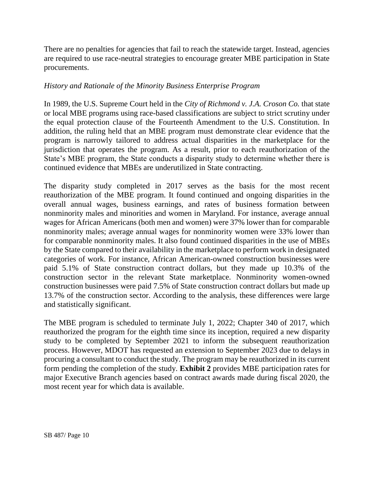There are no penalties for agencies that fail to reach the statewide target. Instead, agencies are required to use race-neutral strategies to encourage greater MBE participation in State procurements.

#### *History and Rationale of the Minority Business Enterprise Program*

In 1989, the U.S. Supreme Court held in the *City of Richmond v. J.A. Croson Co.* that state or local MBE programs using race-based classifications are subject to strict scrutiny under the equal protection clause of the Fourteenth Amendment to the U.S. Constitution. In addition, the ruling held that an MBE program must demonstrate clear evidence that the program is narrowly tailored to address actual disparities in the marketplace for the jurisdiction that operates the program. As a result, prior to each reauthorization of the State's MBE program, the State conducts a disparity study to determine whether there is continued evidence that MBEs are underutilized in State contracting.

The disparity study completed in 2017 serves as the basis for the most recent reauthorization of the MBE program. It found continued and ongoing disparities in the overall annual wages, business earnings, and rates of business formation between nonminority males and minorities and women in Maryland. For instance, average annual wages for African Americans (both men and women) were 37% lower than for comparable nonminority males; average annual wages for nonminority women were 33% lower than for comparable nonminority males. It also found continued disparities in the use of MBEs by the State compared to their availability in the marketplace to perform work in designated categories of work. For instance, African American-owned construction businesses were paid 5.1% of State construction contract dollars, but they made up 10.3% of the construction sector in the relevant State marketplace. Nonminority women-owned construction businesses were paid 7.5% of State construction contract dollars but made up 13.7% of the construction sector. According to the analysis, these differences were large and statistically significant.

The MBE program is scheduled to terminate July 1, 2022; Chapter 340 of 2017, which reauthorized the program for the eighth time since its inception, required a new disparity study to be completed by September 2021 to inform the subsequent reauthorization process. However, MDOT has requested an extension to September 2023 due to delays in procuring a consultant to conduct the study. The program may be reauthorized in its current form pending the completion of the study. **Exhibit 2** provides MBE participation rates for major Executive Branch agencies based on contract awards made during fiscal 2020, the most recent year for which data is available.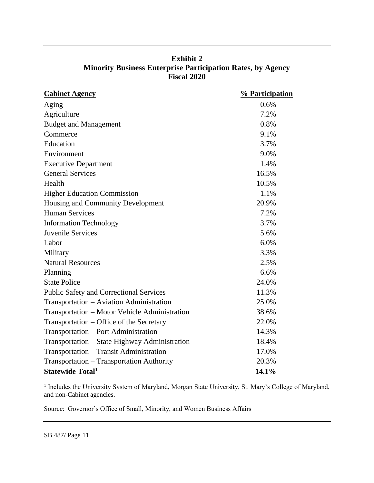| <b>Exhibit 2</b>                                                   |
|--------------------------------------------------------------------|
| <b>Minority Business Enterprise Participation Rates, by Agency</b> |
| <b>Fiscal 2020</b>                                                 |

| <b>Cabinet Agency</b>                          | % Participation |
|------------------------------------------------|-----------------|
| Aging                                          | 0.6%            |
| Agriculture                                    | 7.2%            |
| <b>Budget and Management</b>                   | 0.8%            |
| Commerce                                       | 9.1%            |
| Education                                      | 3.7%            |
| Environment                                    | 9.0%            |
| <b>Executive Department</b>                    | 1.4%            |
| <b>General Services</b>                        | 16.5%           |
| Health                                         | 10.5%           |
| <b>Higher Education Commission</b>             | 1.1%            |
| Housing and Community Development              | 20.9%           |
| <b>Human Services</b>                          | 7.2%            |
| <b>Information Technology</b>                  | 3.7%            |
| Juvenile Services                              | 5.6%            |
| Labor                                          | 6.0%            |
| Military                                       | 3.3%            |
| <b>Natural Resources</b>                       | 2.5%            |
| Planning                                       | 6.6%            |
| <b>State Police</b>                            | 24.0%           |
| <b>Public Safety and Correctional Services</b> | 11.3%           |
| Transportation - Aviation Administration       | 25.0%           |
| Transportation – Motor Vehicle Administration  | 38.6%           |
| Transportation - Office of the Secretary       | 22.0%           |
| Transportation – Port Administration           | 14.3%           |
| Transportation – State Highway Administration  | 18.4%           |
| Transportation - Transit Administration        | 17.0%           |
| Transportation - Transportation Authority      | 20.3%           |
| <b>Statewide Total</b> <sup>1</sup>            | 14.1%           |

<sup>1</sup> Includes the University System of Maryland, Morgan State University, St. Mary's College of Maryland, and non-Cabinet agencies.

Source: Governor's Office of Small, Minority, and Women Business Affairs